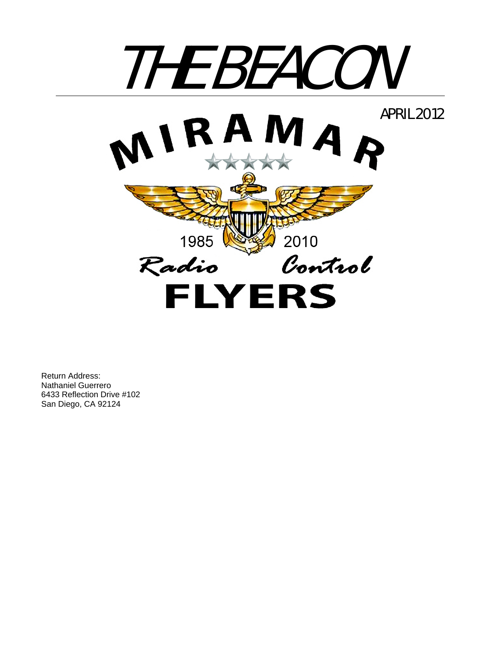

Return Address: Nathaniel Guerrero 6433 Reflection Drive #102 San Diego, CA 92124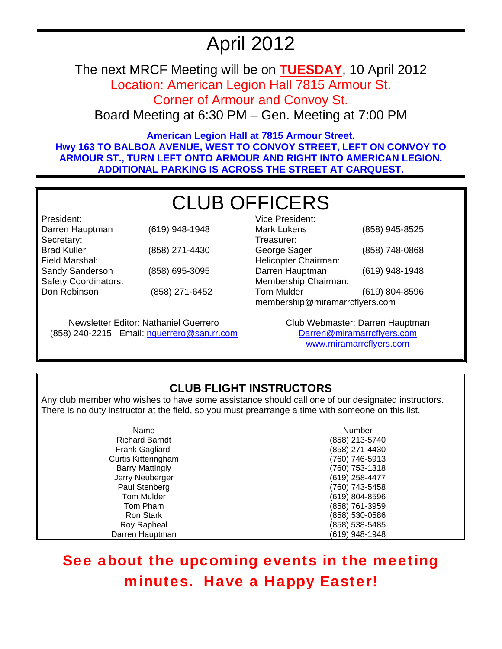# April 2012

The next MRCF Meeting will be on **TUESDAY**, 10 April 2012 Location: American Legion Hall 7815 Armour St.

Corner of Armour and Convoy St.

Board Meeting at 6:30 PM – Gen. Meeting at 7:00 PM

**American Legion Hall at 7815 Armour Street. Hwy 163 TO BALBOA AVENUE, WEST TO CONVOY STREET, LEFT ON CONVOY TO ARMOUR ST., TURN LEFT ONTO ARMOUR AND RIGHT INTO AMERICAN LEGION. ADDITIONAL PARKING IS ACROSS THE STREET AT CARQUEST.** 

# CLUB OFFICERS

| President:                  |                |
|-----------------------------|----------------|
| Darren Hauptman             | (619) 948-1948 |
| Secretary:                  |                |
| <b>Brad Kuller</b>          | (858) 271-4430 |
| Field Marshal:              |                |
| Sandy Sanderson             | (858) 695-3095 |
| <b>Safety Coordinators:</b> |                |
| Don Robinson                | (858) 271-6452 |
|                             |                |

Newsletter Editor: Nathaniel Guerrero (858) 240-2215 Email: nguerrero@san.rr.com

| Vice President:                |                |  |
|--------------------------------|----------------|--|
| <b>Mark Lukens</b>             | (858) 945-8525 |  |
| Treasurer:                     |                |  |
| George Sager                   | (858) 748-0868 |  |
| Helicopter Chairman:           |                |  |
| Darren Hauptman                | (619) 948-1948 |  |
| Membership Chairman:           |                |  |
| <b>Tom Mulder</b>              | (619) 804-8596 |  |
| membership@miramarrcflyers.com |                |  |

Club Webmaster: Darren Hauptman Darren@miramarrcflyers.com www.miramarrcflyers.com

## **CLUB FLIGHT INSTRUCTORS**

Any club member who wishes to have some assistance should call one of our designated instructors. There is no duty instructor at the field, so you must prearrange a time with someone on this list.

| Name                       | Number         |
|----------------------------|----------------|
| <b>Richard Barndt</b>      | (858) 213-5740 |
| Frank Gagliardi            | (858) 271-4430 |
| <b>Curtis Kitteringham</b> | (760) 746-5913 |
| <b>Barry Mattingly</b>     | (760) 753-1318 |
| Jerry Neuberger            | (619) 258-4477 |
| Paul Stenberg              | (760) 743-5458 |
| <b>Tom Mulder</b>          | (619) 804-8596 |
| Tom Pham                   | (858) 761-3959 |
| <b>Ron Stark</b>           | (858) 530-0586 |
| Roy Rapheal                | (858) 538-5485 |
| Darren Hauptman            | (619) 948-1948 |

# See about the upcoming events in the meeting minutes. Have a Happy Easter!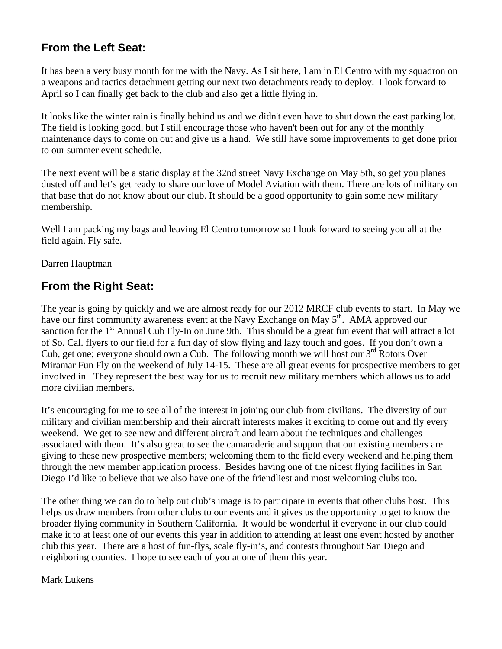### **From the Left Seat:**

It has been a very busy month for me with the Navy. As I sit here, I am in El Centro with my squadron on a weapons and tactics detachment getting our next two detachments ready to deploy. I look forward to April so I can finally get back to the club and also get a little flying in.

It looks like the winter rain is finally behind us and we didn't even have to shut down the east parking lot. The field is looking good, but I still encourage those who haven't been out for any of the monthly maintenance days to come on out and give us a hand. We still have some improvements to get done prior to our summer event schedule.

The next event will be a static display at the 32nd street Navy Exchange on May 5th, so get you planes dusted off and let's get ready to share our love of Model Aviation with them. There are lots of military on that base that do not know about our club. It should be a good opportunity to gain some new military membership.

Well I am packing my bags and leaving El Centro tomorrow so I look forward to seeing you all at the field again. Fly safe.

Darren Hauptman

### **From the Right Seat:**

The year is going by quickly and we are almost ready for our 2012 MRCF club events to start. In May we have our first community awareness event at the Navy Exchange on May 5<sup>th</sup>. AMA approved our sanction for the 1<sup>st</sup> Annual Cub Fly-In on June 9th. This should be a great fun event that will attract a lot of So. Cal. flyers to our field for a fun day of slow flying and lazy touch and goes. If you don't own a Cub, get one; everyone should own a Cub. The following month we will host our  $3<sup>rd</sup>$  Rotors Over Miramar Fun Fly on the weekend of July 14-15. These are all great events for prospective members to get involved in. They represent the best way for us to recruit new military members which allows us to add more civilian members.

It's encouraging for me to see all of the interest in joining our club from civilians. The diversity of our military and civilian membership and their aircraft interests makes it exciting to come out and fly every weekend. We get to see new and different aircraft and learn about the techniques and challenges associated with them. It's also great to see the camaraderie and support that our existing members are giving to these new prospective members; welcoming them to the field every weekend and helping them through the new member application process. Besides having one of the nicest flying facilities in San Diego I'd like to believe that we also have one of the friendliest and most welcoming clubs too.

The other thing we can do to help out club's image is to participate in events that other clubs host. This helps us draw members from other clubs to our events and it gives us the opportunity to get to know the broader flying community in Southern California. It would be wonderful if everyone in our club could make it to at least one of our events this year in addition to attending at least one event hosted by another club this year. There are a host of fun-flys, scale fly-in's, and contests throughout San Diego and neighboring counties. I hope to see each of you at one of them this year.

Mark Lukens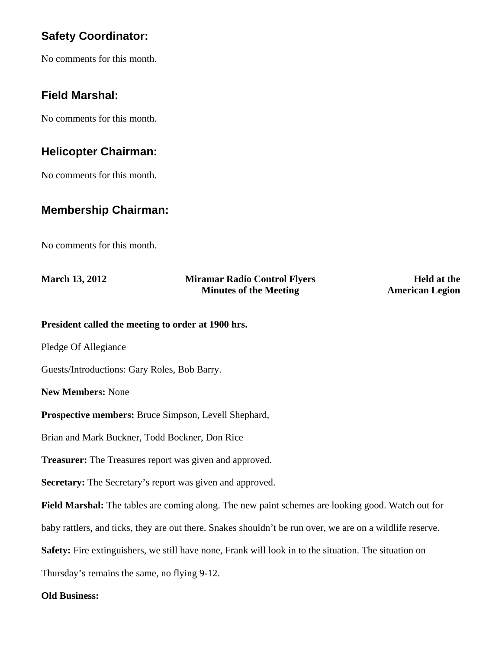### **Safety Coordinator:**

No comments for this month.

#### **Field Marshal:**

No comments for this month.

#### **Helicopter Chairman:**

No comments for this month.

#### **Membership Chairman:**

No comments for this month.

| <b>March 13, 2012</b> | <b>Miramar Radio Control Flyers</b> | <b>Held at the</b>     |
|-----------------------|-------------------------------------|------------------------|
|                       | <b>Minutes of the Meeting</b>       | <b>American Legion</b> |

**President called the meeting to order at 1900 hrs.** 

Pledge Of Allegiance

Guests/Introductions: Gary Roles, Bob Barry.

**New Members:** None

**Prospective members:** Bruce Simpson, Levell Shephard,

Brian and Mark Buckner, Todd Bockner, Don Rice

**Treasurer:** The Treasures report was given and approved.

**Secretary:** The Secretary's report was given and approved.

**Field Marshal:** The tables are coming along. The new paint schemes are looking good. Watch out for

baby rattlers, and ticks, they are out there. Snakes shouldn't be run over, we are on a wildlife reserve.

**Safety:** Fire extinguishers, we still have none, Frank will look in to the situation. The situation on

Thursday's remains the same, no flying 9-12.

#### **Old Business:**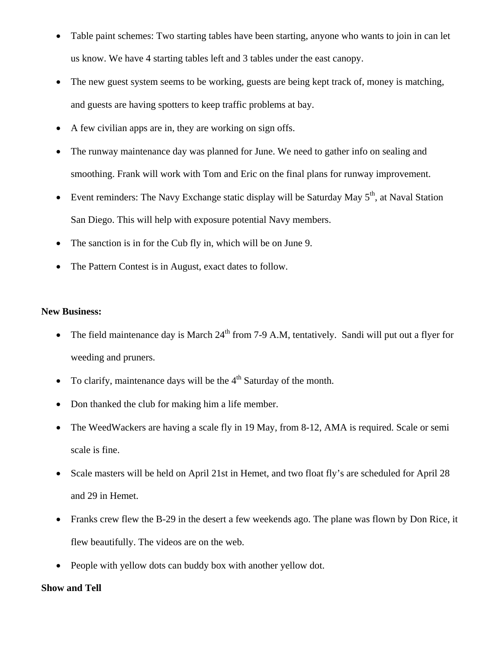- Table paint schemes: Two starting tables have been starting, anyone who wants to join in can let us know. We have 4 starting tables left and 3 tables under the east canopy.
- The new guest system seems to be working, guests are being kept track of, money is matching, and guests are having spotters to keep traffic problems at bay.
- A few civilian apps are in, they are working on sign offs.
- The runway maintenance day was planned for June. We need to gather info on sealing and smoothing. Frank will work with Tom and Eric on the final plans for runway improvement.
- Event reminders: The Navy Exchange static display will be Saturday May  $5<sup>th</sup>$ , at Naval Station San Diego. This will help with exposure potential Navy members.
- The sanction is in for the Cub fly in, which will be on June 9.
- The Pattern Contest is in August, exact dates to follow.

#### **New Business:**

- The field maintenance day is March  $24<sup>th</sup>$  from 7-9 A.M, tentatively. Sandi will put out a flyer for weeding and pruners.
- To clarify, maintenance days will be the  $4<sup>th</sup>$  Saturday of the month.
- Don thanked the club for making him a life member.
- The WeedWackers are having a scale fly in 19 May, from 8-12, AMA is required. Scale or semi scale is fine.
- Scale masters will be held on April 21st in Hemet, and two float fly's are scheduled for April 28 and 29 in Hemet.
- Franks crew flew the B-29 in the desert a few weekends ago. The plane was flown by Don Rice, it flew beautifully. The videos are on the web.
- People with yellow dots can buddy box with another yellow dot.

#### **Show and Tell**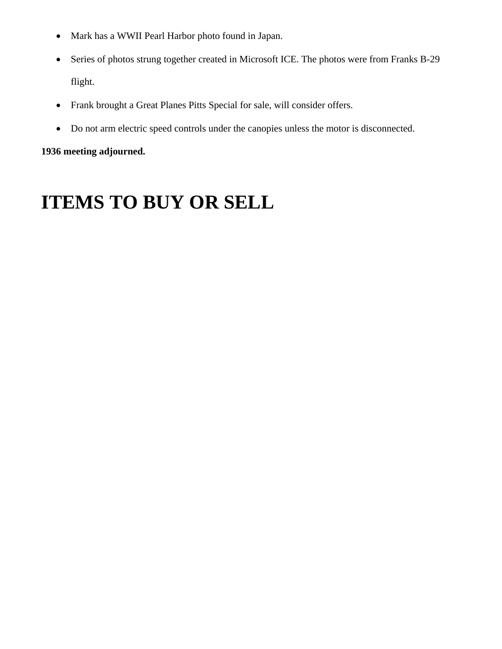- Mark has a WWII Pearl Harbor photo found in Japan.
- Series of photos strung together created in Microsoft ICE. The photos were from Franks B-29 flight.
- Frank brought a Great Planes Pitts Special for sale, will consider offers.
- Do not arm electric speed controls under the canopies unless the motor is disconnected.

#### **1936 meeting adjourned.**

# **ITEMS TO BUY OR SELL**